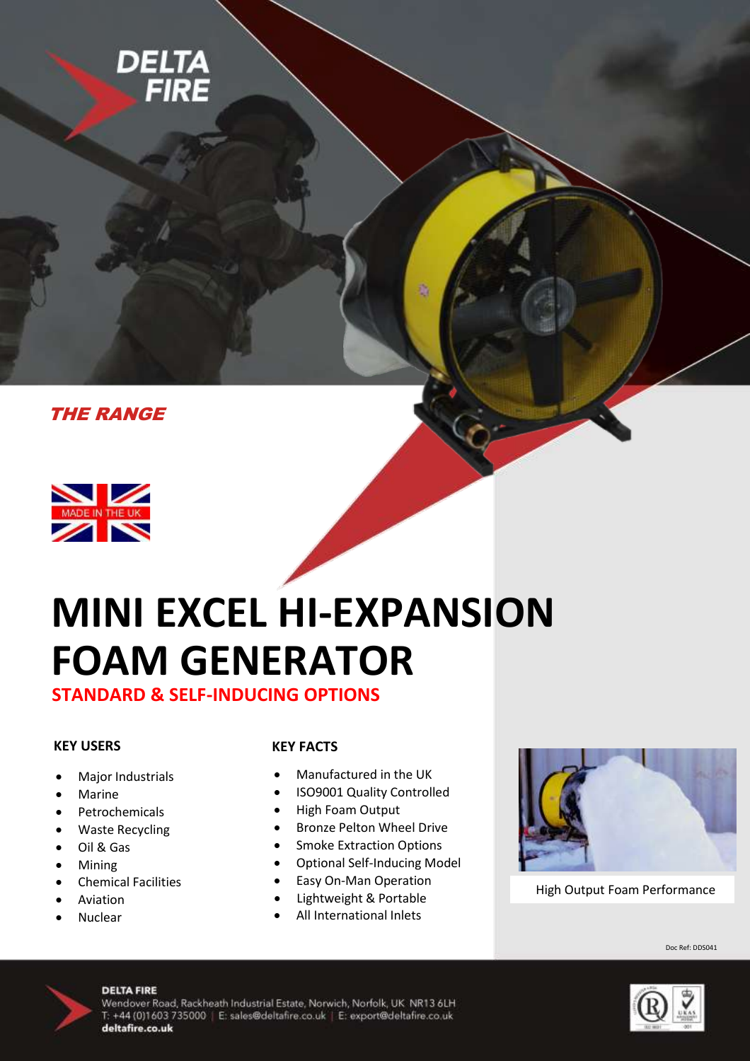





# **MINI EXCEL HI-EXPANSION FOAM GENERATOR**

**STANDARD & SELF-INDUCING OPTIONS**

### **KEY USERS**

- Major Industrials
- Marine
- Petrochemicals
- Waste Recycling
- Oil & Gas
- Mining
- Chemical Facilities
- Aviation
- Nuclear

#### **KEY FACTS**

- Manufactured in the UK
- ISO9001 Quality Controlled
- High Foam Output
- **•** Bronze Pelton Wheel Drive
- **•** Smoke Extraction Options
- Optional Self-Inducing Model
- Easy On-Man Operation
- Lightweight & Portable
- All International Inlets



High Output Foam Performance

Doc Ref: DDS041



#### **DELTA FIRE**

Wendover Road, Rackheath Industrial Estate, Norwich, Norfolk, UK NR13 6LH T: +44 (0)1603 735000 | E: sales@deltafire.co.uk | E: export@deltafire.co.uk deltafire.co.uk

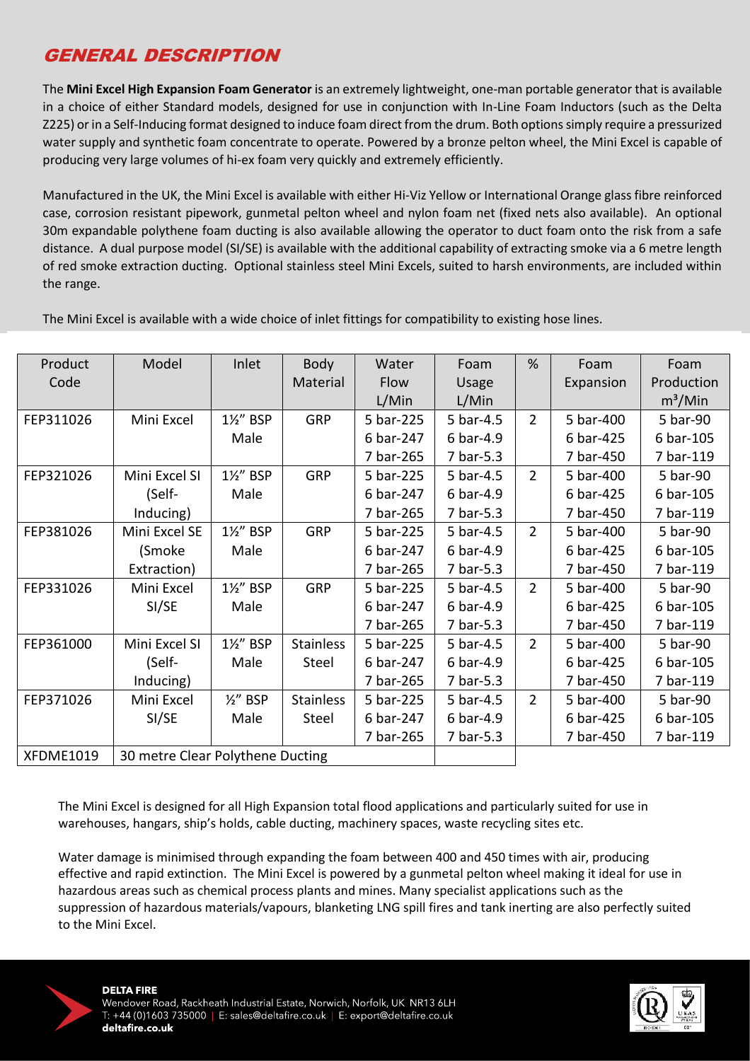## GENERAL DESCRIPTION

The **Mini Excel High Expansion Foam Generator** is an extremely lightweight, one-man portable generator that is available in a choice of either Standard models, designed for use in conjunction with In-Line Foam Inductors (such as the Delta Z225) or in a Self-Inducing format designed to induce foam direct from the drum. Both options simply require a pressurized water supply and synthetic foam concentrate to operate. Powered by a bronze pelton wheel, the Mini Excel is capable of producing very large volumes of hi-ex foam very quickly and extremely efficiently.

Manufactured in the UK, the Mini Excel is available with either Hi-Viz Yellow or International Orange glass fibre reinforced case, corrosion resistant pipework, gunmetal pelton wheel and nylon foam net (fixed nets also available). An optional 30m expandable polythene foam ducting is also available allowing the operator to duct foam onto the risk from a safe distance. A dual purpose model (SI/SE) is available with the additional capability of extracting smoke via a 6 metre length of red smoke extraction ducting. Optional stainless steel Mini Excels, suited to harsh environments, are included within the range.

| Product          | Model                            | Inlet               | <b>Body</b>      | Water     | Foam      | %              | Foam      | Foam       |
|------------------|----------------------------------|---------------------|------------------|-----------|-----------|----------------|-----------|------------|
| Code             |                                  |                     | Material         | Flow      | Usage     |                | Expansion | Production |
|                  |                                  |                     |                  | L/Min     | L/Min     |                |           | $m^3/M$ in |
| FEP311026        | Mini Excel                       | 1%" BSP             | <b>GRP</b>       | 5 bar-225 | 5 bar-4.5 | $\overline{2}$ | 5 bar-400 | 5 bar-90   |
|                  |                                  | Male                |                  | 6 bar-247 | 6 bar-4.9 |                | 6 bar-425 | 6 bar-105  |
|                  |                                  |                     |                  | 7 bar-265 | 7 bar-5.3 |                | 7 bar-450 | 7 bar-119  |
| FEP321026        | Mini Excel SI                    | 1½" BSP             | <b>GRP</b>       | 5 bar-225 | 5 bar-4.5 | $\overline{2}$ | 5 bar-400 | 5 bar-90   |
|                  | (Self-                           | Male                |                  | 6 bar-247 | 6 bar-4.9 |                | 6 bar-425 | 6 bar-105  |
|                  | Inducing)                        |                     |                  | 7 bar-265 | 7 bar-5.3 |                | 7 bar-450 | 7 bar-119  |
| FEP381026        | Mini Excel SE                    | 1½" BSP             | <b>GRP</b>       | 5 bar-225 | 5 bar-4.5 | $\mathcal{P}$  | 5 bar-400 | 5 bar-90   |
|                  | (Smoke                           | Male                |                  | 6 bar-247 | 6 bar-4.9 |                | 6 bar-425 | 6 bar-105  |
|                  | Extraction)                      |                     |                  | 7 bar-265 | 7 bar-5.3 |                | 7 bar-450 | 7 bar-119  |
| FEP331026        | Mini Excel                       | 1½" BSP             | <b>GRP</b>       | 5 bar-225 | 5 bar-4.5 | $\overline{2}$ | 5 bar-400 | 5 bar-90   |
|                  | SI/SE                            | Male                |                  | 6 bar-247 | 6 bar-4.9 |                | 6 bar-425 | 6 bar-105  |
|                  |                                  |                     |                  | 7 bar-265 | 7 bar-5.3 |                | 7 bar-450 | 7 bar-119  |
| FEP361000        | Mini Excel SI                    | 1½" BSP             | <b>Stainless</b> | 5 bar-225 | 5 bar-4.5 | $\overline{2}$ | 5 bar-400 | 5 bar-90   |
|                  | (Self-                           | Male                | Steel            | 6 bar-247 | 6 bar-4.9 |                | 6 bar-425 | 6 bar-105  |
|                  | Inducing)                        |                     |                  | 7 bar-265 | 7 bar-5.3 |                | 7 bar-450 | 7 bar-119  |
| FEP371026        | Mini Excel                       | $\frac{1}{2}$ " BSP | <b>Stainless</b> | 5 bar-225 | 5 bar-4.5 | $\overline{2}$ | 5 bar-400 | 5 bar-90   |
|                  | SI/SE                            | Male                | Steel            | 6 bar-247 | 6 bar-4.9 |                | 6 bar-425 | 6 bar-105  |
|                  |                                  |                     |                  | 7 bar-265 | 7 bar-5.3 |                | 7 bar-450 | 7 bar-119  |
| <b>XFDME1019</b> | 30 metre Clear Polythene Ducting |                     |                  |           |           |                |           |            |

The Mini Excel is available with a wide choice of inlet fittings for compatibility to existing hose lines.

The Mini Excel is designed for all High Expansion total flood applications and particularly suited for use in warehouses, hangars, ship's holds, cable ducting, machinery spaces, waste recycling sites etc.

Water damage is minimised through expanding the foam between 400 and 450 times with air, producing effective and rapid extinction. The Mini Excel is powered by a gunmetal pelton wheel making it ideal for use in hazardous areas such as chemical process plants and mines. Many specialist applications such as the suppression of hazardous materials/vapours, blanketing LNG spill fires and tank inerting are also perfectly suited to the Mini Excel.